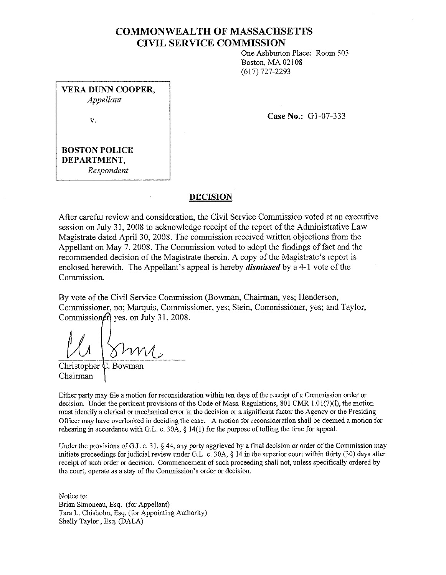## **COMMONWEALTH OF MASSACHSETTS CIVIL SERVICE COMMISSION**

One Ashburton Place: Room 503 Boston, MA 02108 (617) 727-2293

**VERA DUNN COOPER,**  *Appellant* 

v.

**Case No.: G1-07-333** 

**BOSTON POLICE DEPARTMENT,**  *Respondent* 

#### **DECISION**

After careful review and consideration, the Civil Service Commission voted at an executive session on **July** 31, 2008 to acknowledge receipt of the report of the Administrative Law Magistrate dated April 30, 2008. The commission received written objections from the Appellant on May 7, 2008. The Commission voted to adopt the findings of fact and the recommended decision of the Magistrate therein. A copy of the Magistrate's report is enclosed herewith. The Appellant's appeal is hereby *dismissed* by a 4-1 vote of the Commission.

By vote of the Civil Service Commission (Bowman, Chairman, yes; Henderson, Commissioner, no; Marquis, Commissioner, yes; Stein, Commissioner, yes; and Taylor, Commission $f$  yes, on July 31, 2008.

*ll*  Christopher

Chairman

Either party may file a motion for reconsideration within ten days of the receipt of a Commission order or decision. Under the pertinent provisions of the Code of Mass. Regulations,  $801$  CMR  $1.01(7)(l)$ , the motion must identify a clerical or mechanical error in the decision or a significant factor the Agency or the Presiding Officer may have overlooked in deciding the case. A motion for reconsideration shall be deemed a motion for rehearing in accordance with G.L. c. 30A, § 14(1) for the purpose of tolling the time for appeal.

Under the provisions of G.L c. 31, § 44, any party aggrieved by a final decision or order of the Commission may initiate proceedings for judicial review under G.L. c. 30A, § 14 in the superior court within thirty (30) days after receipt of such order or decision. Commencement of such proceeding shall not, unless specifically ordered by the court, operate as a stay of the Commission's order or decision.

Notice to: Brian Simoneau, Esq. (for Appellant) Tara L. Chishohn, Esq. (for Appointing Authority) Shelly Taylor, Esq. (DALA)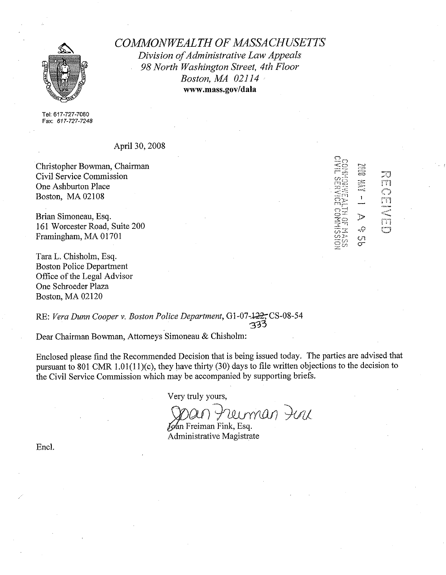

*COMMONWEALTH OF MASSACHUSETTS Division of Administrative Law Appeals 98 North Washington Street, 4th Floor Boston, MA 02114*  **www.mass.gov/dala** 

Tel: 617-727-7060 Fax: 617-727-7248

April30,2008

Christopher Bowman, Chairman Civil Service Commission One Ashburton Place Boston, MA 02108

Brian Simoneau, Esq. 161 Worcester Road, Suite 200 Framingham, MA 01701

Tara L. Chisholm, Esq. Boston Police Department Office of the Legal Advisor One Schroeder Plaza Boston, MA 02120

B ವಿ<br>ವರ್ಷ<br>ವರ್ಷ  $\mathbf{L}$  $\mathcal{D}$ ĻQ  $\frac{C}{C}$ 

rn

m

<sup>-</sup><br>Ti

ొ

RE: *Vera Dunn Cooper v. Boston Police Department,* G1-07-122, CS-08-54 **3~3** 

Dear Chairman Bowman, Attorneys Simoneau & Chisholm:

Enclosed please find the Recommended Decision that is being issued today. The parties are advised that pursuant to 801 CMR 1.01(1 l)(c), they have thirty (30) days to file written objections to the decision to the Civil Service Commission which may be accompanied by supporting briefs.

Very truly yours,

Span Freiman Fink, Esq.

Administrative Magistrate

Encl.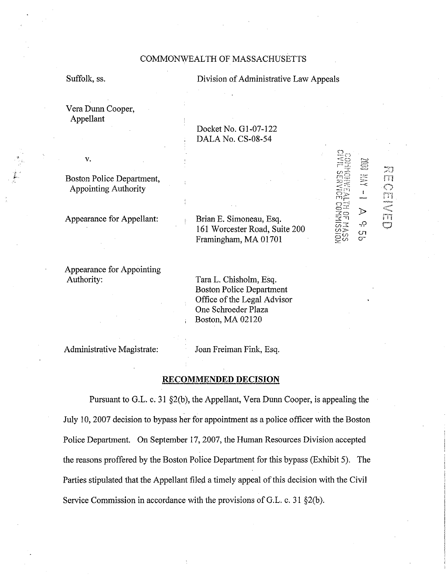#### COMMONWEALTH OF MASSACHUSETTS

Suffolk, ss.

v.

#### Division of Administrative Law Appeals

Vera Dunn Cooper, Appellant

> Docket No. Gl-07-122 DALA No. CS-08-54

Boston Police Department, Appointing Authority

Appearance for Appellant:

Appearance for Appointing Authority:

Brian E. Simoneau, Esq. 161 Worcester Road, Suite 200 Framingham, MA 01701

J> ,9 ርግ<br>መ

 $\bar{\mathbf{I}}$ 

r<br>C

 $\mathbb{C}^{\mathbb{C}^{\times d}}$ 

En C

Tara L. Chisholm, Esq. Boston Police Department Office of the Legal Advisor One Schroeder Plaza Boston, MA 02120

Administrative Magistrate:

Joan Freiman Fink, Esq.

#### **RECOMMENDED DECISION**

Pursuant to G.L. c. 31 §2(b), the Appellant, Vera Dunn Cooper, is appealing the July 10, 2007 decision to bypass her for appointment as a police officer with the Boston Police Department. On September 17, 2007, the Human Resources Division accepted the reasons proffered by the Boston Police Department for this bypass (Exhibit 5). The Parties stipulated that the Appellant filed a timely appeal of this decision with the Civil Service Commission in accordance with the provisions of G.L. c. 31 §2(b).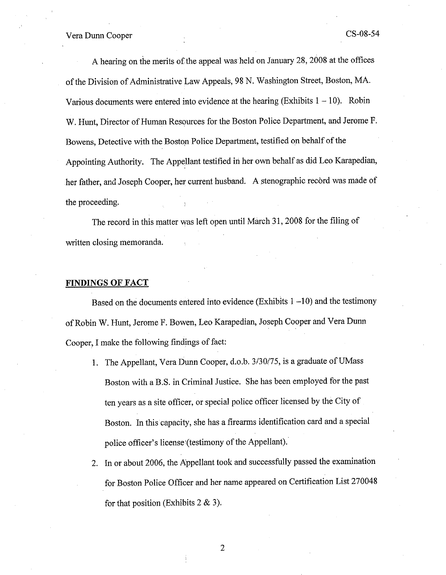A hearing on the merits of the appeal was held on January 28, 2008 at the offices of the Division of Administrative Law Appeals, 98 N. Washington Street, Boston, MA. Various documents were entered into evidence at the hearing (Exhibits  $1 - 10$ ). Robin W. Hunt, Director of Human Resources for the Boston Police Department, and Jerome F. Bowens, Detective with the Boston Police Department, testified on behalf of the Appointing Authority. The Appellant testified in her own behalf as did Leo Karapedian, her father, and Joseph Cooper, her current husband. A stenographic record was made of the proceeding.

The record in this matter was left open until March 31, 2008 for the filing of written closing memoranda.

#### **FINDINGS OF FACT**

Based on the documents entered into evidence (Exhibits  $1 - 10$ ) and the testimony of Robin W. Hunt, Jerome F. Bowen, Leo Karapedian, Joseph Cooper and Vera Dunn Cooper, I make the following findings of fact:

- 1. The Appellant, Vera Dunn Cooper, d.o.b. 3/30/75, is a graduate of UMass Boston with a B.S. in Criminal Justice. She has been employed for the past ten years as a site officer, or special police officer licensed by the City of Boston. In this capacity, she has a firearms identification card and a special police officer's license'(testimony of the Appellant).
- 2. In or about 2006, the Appellant took and successfully passed the examination for Boston Police Officer and her name appeared on Certification List 270048 for that position (Exhibits  $2 \& 3$ ).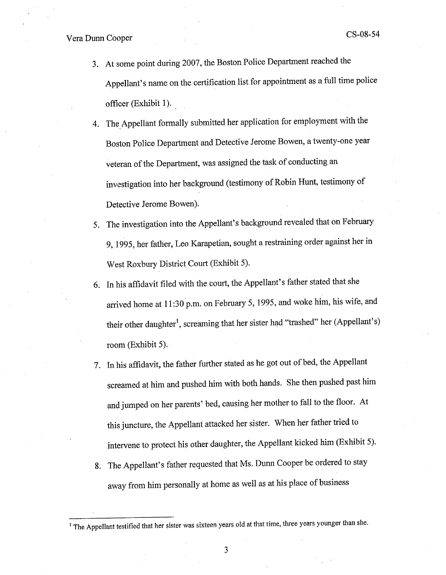- 3. At some point during 2007, the Boston Police Department reached the Appellant's name on the certification list for appointment as a full time police officer (Exhibit I).
- 4. The Appellant formally submitted her application for employment with the Boston Police Department and Detective Jerome Bowen, a twenty-one year veteran of the Department, was assigned the task of conducting an investigation into her background (testimony of Robin Hunt, testimony of Detective Jerome Bowen).
- 5. The investigation into the Appellant's background revealed that on February 9, 1995, her father, Leo Karapetian, sought a restraining order against her in West Roxbury District Court (Exhibit 5).
- 6. In his affidavit filed with the court, the Appellant's father stated that she arrived home at <sup>11</sup>:30 p.m. on February 5, 1995, and woke him, his wife, and their other daughter<sup>1</sup>, screaming that her sister had "trashed" her (Appellant's) room (Exhibit 5).
- 7. In his affidavit, the father further stated as he got out of bed, the Appellant screamed at him and pushed him with both hands. She then pushed past him and jumped on her parents' bed, causing her mother to fall to the floor. At this juncture, the Appellant attacked her sister. When her father tried to intervene to protect his other daughter, the Appellant kicked him (Exhibit 5).
- 8. The Appellant's father requested that Ms. Dunn Cooper be ordered to stay away from him personally at home as well as at his place of business

<sup>&</sup>lt;sup>1</sup> The Appellant testified that her sister was sixteen years old at that time, three years younger than she.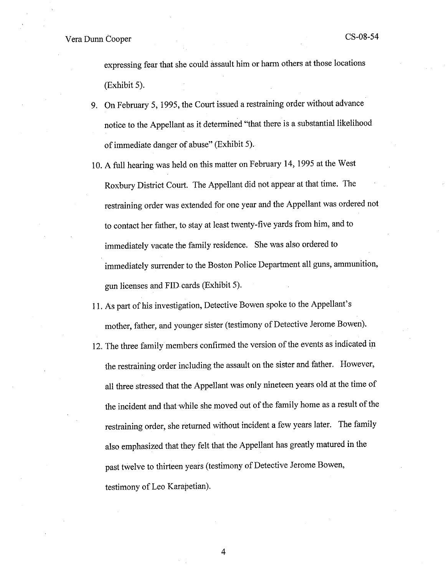expressing fear that she could assault him or harm others at those locations (Exhibit 5).

- 9. On February 5, 1995, the Court issued a restraining order without advance notice to the Appellant as it determined "that there is a substantial likelihood of immediate danger of abuse" (Exhibit 5).
- 10. A full hearing was held on this matter on February 14, 1995 at the West Roxbury District Court. The Appellant did not appear at that time. The restraining order was extended for one year and the Appellant was ordered not to contact her father, to stay at least twenty-five yards from him, and to immediately vacate the family residence. She was also ordered to immediately surrender to the Boston Police Department all guns, ammunition, gun licenses and FID cards (Exhibit 5).
- 11. As part of his investigation, Detective Bowen spoke to the Appellant's mother, father, and younger sister (testimony of Detective Jerome Bowen).
- 12. The three family members confirmed the version of the events as indicated in the restraining order including the assault on the sister and father. However, all three stressed that the Appellant was only nineteen years old at the time of the incident and that while she moved out of the family home as a result of the restraining order, she returned without incident a few years later. The family also emphasized that they felt that the Appellant has greatly matured in the past twelve to thirteen years (testimony of Detective Jerome Bowen, testimony of Leo Karapetian).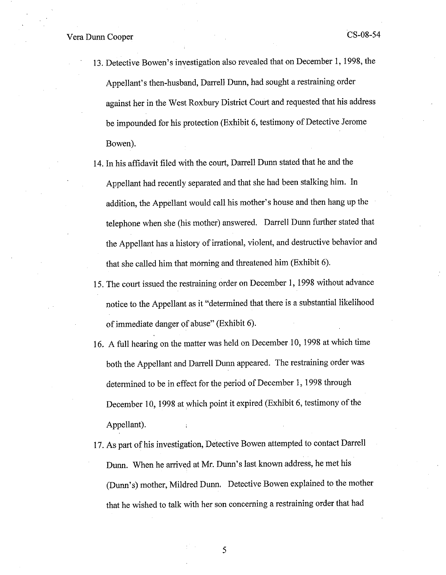- 13. Detective Bowen's investigation also revealed that on December 1, 1998, the Appellant's then-husband, Darrell Dunn, had sought a restraining order against her in the West Roxbury District Court and requested that his address be impounded for his protection (Exhibit 6, testimony of Detective Jerome Bowen).
- 14. In his affidavit filed with the court, Darrell Dunn stated that he and the Appellant had recently separated and that she had been stalking him. In addition, the Appellant would call his mother's house and then hang up the telephone when she (his mother) answered. Darrell Dunn further stated that the Appellant has a history of irrational, violent, and destructive behavior and that she called him that morning and threatened him (Exhibit 6).
- 15. The court issued the restraining order on December 1, 1998 without advance notice to the Appellant as it "determined that there is a substantial likelihood of immediate danger of abuse" (Exhibit 6).
- 16. A full hearing on the matter was held on December 10, 1998 at which time both the Appellant and Darrell Dunn appeared. The restraining order was determined to be in effect for the period of December 1, 1998 through December 10, 1998 at which point it expired (Exhibit 6, testimony of the Appellant).
- 17. As part of his investigation, Detective Bowen attempted to contact Darrell Dunn. When he arrived at Mr. Dunn's last known address, he met his (Dunn's) mother, Mildred Dunn. Detective Bowen explained to the mother that he wished to talk with her son concerning a restraining order that had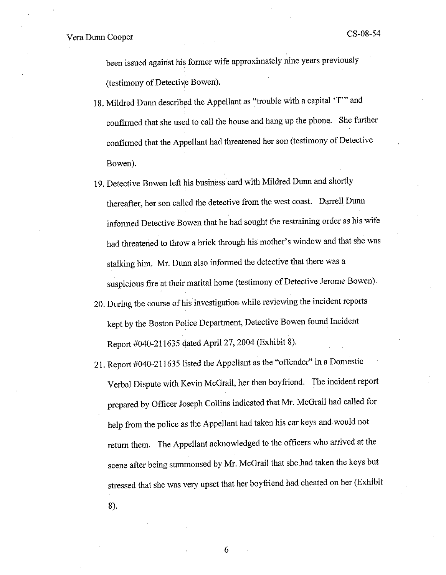been issued against his former wife approximately nine years previously (testimony of Detective Bowen).

- 18. Mildred Dunn described the Appellant as "trouble with a capital 'T" and confirmed that she used to call the house and hang up the phone. She further confirmed that the Appellant had threatened her son (testimony of Detective Bowen).
- 19. Detective Bowen left his business card with Mildred Dunn and shortly thereafter, her son called the detective from the west coast. Darrell Dunn informed Detective Bowen that he had sought the restraining order as his wife had threatened to throw a brick through his mother's window and that she was stalking him. Mr. Dunn also informed the detective that there was a suspicious fire at their marital home (testimony of Detective Jerome Bowen).
- 20. During the course of his investigation while reviewing the incident reports kept by the Boston Police Department, Detective Bowen found Incident Report #040-211635 qated April 27, 2004 (Exhibit 8).
- 21. Report #040-211635 listed the Appellant as the "offender" in a Domestic Verbal Dispute with Kevin McGrail, her then boyfriend. The incident report prepared by Officer Joseph Collins indicated that Mr. McGrail had called for help from the police as the Appellant had taken his car keys and would not return them. The Appellant acknowledged to the officers who arrived at the scene after being summonsed by Mr. McGrail that she had taken the keys but stressed that she was very upset that her boyfriend had cheated on her (Exhibit 8).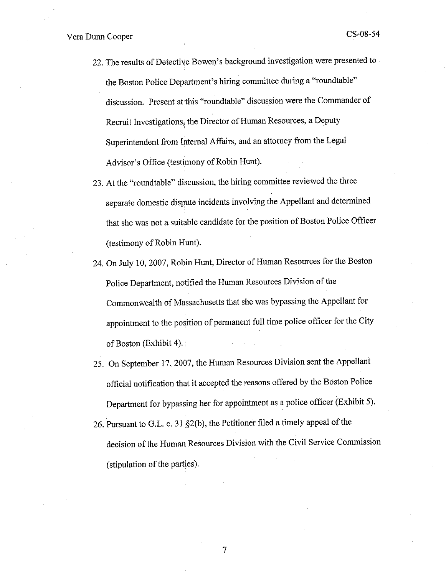- 22. The results of Detective Bowen's background investigation were presented to the Boston Police Department's hiring committee during a "roundtable" discussion. Present at this "roundtable" discussion were the Commander of Recruit Investigations, the Director of Human Resources, a Deputy ' Superintendent from Internal Affairs, and an attorney from the Legal Advisor's Office (testimony of Robin Hunt).
- 23. At the "roundtable" discussion, the hiring committee reviewed the three separate domestic dispute incidents involving the Appellant and determined that she was not a suitable candidate for the position of Boston Police Officer (testimony of Robin Hunt).
- 24. On July 10, 2007, Robin Hunt, Director of Human Resources for the Boston Police Department, notified the Human Resources Division of the Commonwealth of Massachusetts that she was bypassing the Appellant for appointment to the position of permanent full time police officer for the City of Boston (Exhibit 4).
- 25. On September 17, 2007, the Human Resources Division sent the Appellant official notification that it accepted the reasons offered by the Boston Police Department for bypassing her for appointment as a police officer (Exhibit 5).
- 26. Pursuant to G.L. c. <sup>31</sup>§2(b), the Petitioner filed a timely appeal of the decision of the Human Resources Division with the Civil Service Commission (stipulation of the parties).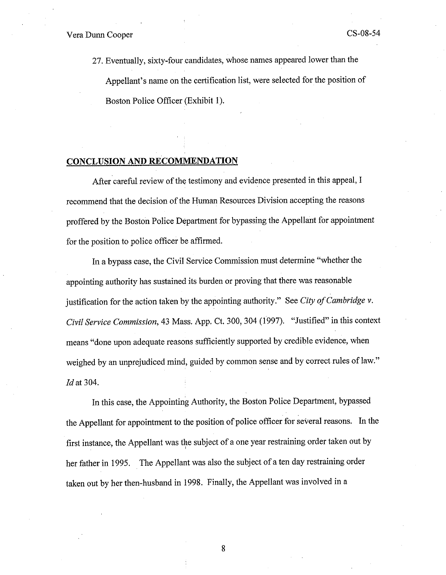27. Eventually, sixty-four candidates, whose names appeared lower than the Appellant's name on the certification list, were selected for the position of Boston Police Officer (Exhibit 1).

### **CONCLUSION AND RECOMMENDATION**

After careful review of the testimony and evidence presented in this appeal, I recommend that the decision of the Human Resources Division accepting the reasons proffered by the Boston Police Department for bypassing the Appellant for appointment for the position to police officer be affirmed.

In a bypass case, the Civil Service Commission must determine "whether the appointing authority has sustained its burden or proving that there was reasonable justification for the action taken by the appointing authority." See *City of Cambridge v. Civil Service Commission, 43 Mass. App. Ct. 300, 304 (1997).* "Justified" in this context means "done upon adequate reasons sufficiently supported by credible evidence, when weighed by an unprejudiced mind, guided by common sense and by correct rules of law." *Id* at 304.

In this case, the Appointing Authority, the Boston Police Department, bypassed the Appellant for appointment to the position of police officer for several reasons. In the first instance, the Appellant was the subject of a one year restraining order taken out by her father in 1995. The Appellant was also the subject of a ten day restraining order taken out by her then-husband in 1998. Finally, the Appellant was involved in a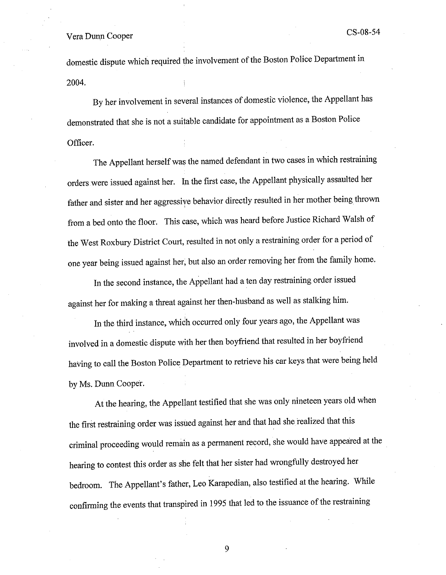domestic dispute which required the involvement of the Boston Police Department in 2004.

By her involvement in several instances of domestic violence, the Appellant has demonstrated that she is not a suitable candidate for appointment as a Boston Police Officer.

The Appellant herself was the named defendant in two cases in which restraining orders were issued against her. In the first case, the Appellant physically assaulted her father and sister and her aggressive behavior directly resulted in her mother being thrown from a bed onto the floor. This case, which was heard before Justice Richard Walsh of the West Roxbury District Court, resulted in not only a restraining order for a period of one year being issued against her, but also an order removing her from the family home.

In the second instance, the Appellant had a ten day restraining order issued against her for making a threat against her then-husband as well as stalking him.

In the third instance, which occurred only four years ago, the Appellant was involved in a domestic dispute with her then boyfriend that resulted in her boyfriend having to call the Boston Police Department to retrieve his car keys that were being held by Ms. Dunn Cooper.

At the hearing, the Appellant testified that she was only nineteen years old when the first restraining order was issued against her and that had she realized that this criminal proceeding would remain as a permanent record, she would have appeared at the hearing to contest this order as she felt that her sister had wrongfully destroyed her bedroom. The Appellant's father, Leo Karapedian, also testified at the hearing. While confirming the events that transpired in 1995 that led to the issuance of the restraining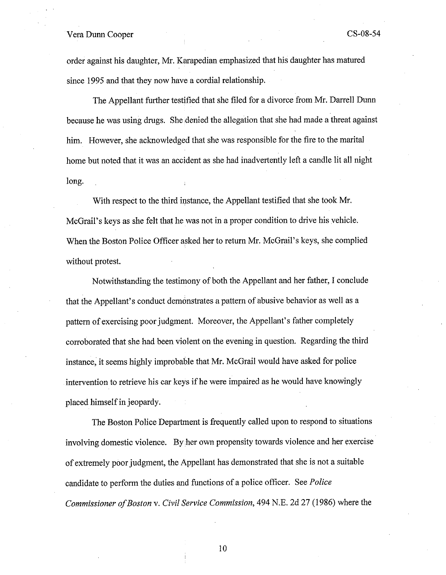order against his daughter, Mr. Karapedian emphasized that his daughter has matured since 1995 and that they now have a cordial relationship.

The Appellant further testified that she filed for a divorce from Mr. Darrell Dunn because he was using drugs. She denied the allegation that she had made a threat against him. However, she acknowledged that she was responsible for the fire to the marital home but noted that it was an accident as she had inadvertently left a candle lit all night long.

With respect to the third instance, the Appellant testified that she took Mr. McGrail's keys as she felt that he was not in a proper condition to drive his vehicle. When the Boston Police Officer asked her to return Mr. McGrail's keys, she complied without protest.

Notwithstanding the testimony of both the Appellant and her father, I conclude that the Appellant's conduct demonstrates a pattern of abusive behavior as well as a pattern of exercising poor judgment. Moreover, the Appellant's father completely corroborated that she had been violent on the evening in question. Regarding the third instance, it seems highly improbable that Mr. McGrail would have asked for police intervention to retrieve his car keys ifhe were impaired as he would have knowingly placed himself in jeopardy.

The Boston Police Department is frequently called upon to respond to situations involving domestic violence. By her own propensity towards violence and her exercise of extremely poor judgment, the Appellant has demonstrated that she is not a suitable candidate to perform the duties and functions of a police officer. See *Police Commissioner a/Boston* v. *Civil Service Commission,* 494 N.E. 2d 27 (1986) where the